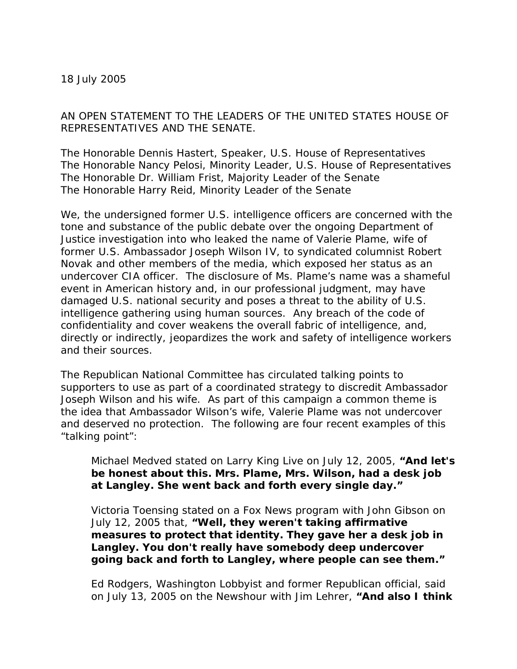18 July 2005

AN OPEN STATEMENT TO THE LEADERS OF THE UNITED STATES HOUSE OF REPRESENTATIVES AND THE SENATE.

The Honorable Dennis Hastert, Speaker, U.S. House of Representatives The Honorable Nancy Pelosi, Minority Leader, U.S. House of Representatives The Honorable Dr. William Frist, Majority Leader of the Senate The Honorable Harry Reid, Minority Leader of the Senate

We, the undersigned former U.S. intelligence officers are concerned with the tone and substance of the public debate over the ongoing Department of Justice investigation into who leaked the name of Valerie Plame, wife of former U.S. Ambassador Joseph Wilson IV, to syndicated columnist Robert Novak and other members of the media, which exposed her status as an undercover CIA officer. The disclosure of Ms. Plame's name was a shameful event in American history and, in our professional judgment, may have damaged U.S. national security and poses a threat to the ability of U.S. intelligence gathering using human sources. Any breach of the code of confidentiality and cover weakens the overall fabric of intelligence, and, directly or indirectly, jeopardizes the work and safety of intelligence workers and their sources.

The Republican National Committee has circulated talking points to supporters to use as part of a coordinated strategy to discredit Ambassador Joseph Wilson and his wife. As part of this campaign a common theme is the idea that Ambassador Wilson's wife, Valerie Plame was not undercover and deserved no protection. The following are four recent examples of this "talking point":

Michael Medved stated on Larry King Live on July 12, 2005, *"And let's be honest about this. Mrs. Plame, Mrs. Wilson, had a desk job at Langley. She went back and forth every single day."*

Victoria Toensing stated on a Fox News program with John Gibson on July 12, 2005 that, *"Well, they weren't taking affirmative measures to protect that identity. They gave her a desk job in Langley. You don't really have somebody deep undercover going back and forth to Langley, where people can see them."*

Ed Rodgers, Washington Lobbyist and former Republican official, said on July 13, 2005 on the Newshour with Jim Lehrer, *"And also I think*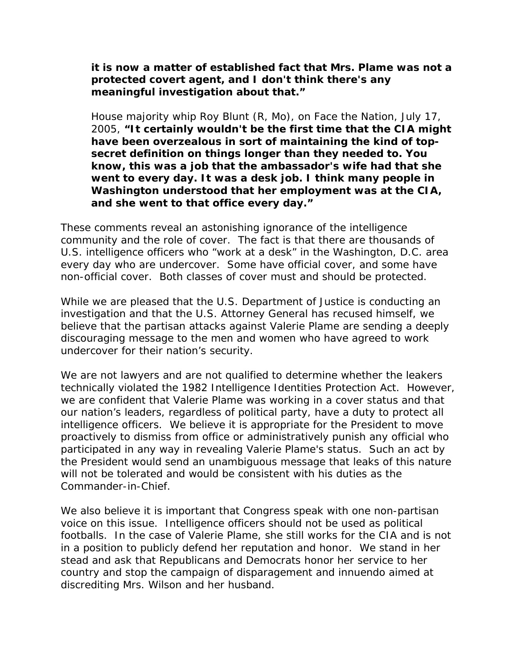*it is now a matter of established fact that Mrs. Plame was not a protected covert agent, and I don't think there's any meaningful investigation about that."* 

House majority whip Roy Blunt (R, Mo), on Face the Nation, July 17, 2005, *"It certainly wouldn't be the first time that the CIA might have been overzealous in sort of maintaining the kind of topsecret definition on things longer than they needed to. You know, this was a job that the ambassador's wife had that she went to every day. It was a desk job. I think many people in Washington understood that her employment was at the CIA, and she went to that office every day."* 

These comments reveal an astonishing ignorance of the intelligence community and the role of cover. The fact is that there are thousands of U.S. intelligence officers who "work at a desk" in the Washington, D.C. area every day who are undercover. Some have official cover, and some have non-official cover. Both classes of cover must and should be protected.

While we are pleased that the U.S. Department of Justice is conducting an investigation and that the U.S. Attorney General has recused himself, we believe that the partisan attacks against Valerie Plame are sending a deeply discouraging message to the men and women who have agreed to work undercover for their nation's security.

We are not lawyers and are not qualified to determine whether the leakers technically violated the 1982 Intelligence Identities Protection Act. However, we are confident that Valerie Plame was working in a cover status and that our nation's leaders, regardless of political party, have a duty to protect all intelligence officers. We believe it is appropriate for the President to move proactively to dismiss from office or administratively punish any official who participated in any way in revealing Valerie Plame's status. Such an act by the President would send an unambiguous message that leaks of this nature will not be tolerated and would be consistent with his duties as the Commander-in-Chief.

We also believe it is important that Congress speak with one non-partisan voice on this issue. Intelligence officers should not be used as political footballs. In the case of Valerie Plame, she still works for the CIA and is not in a position to publicly defend her reputation and honor. We stand in her stead and ask that Republicans and Democrats honor her service to her country and stop the campaign of disparagement and innuendo aimed at discrediting Mrs. Wilson and her husband.